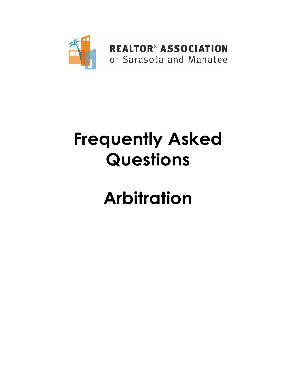

# **Frequently Asked Questions**

# **Arbitration**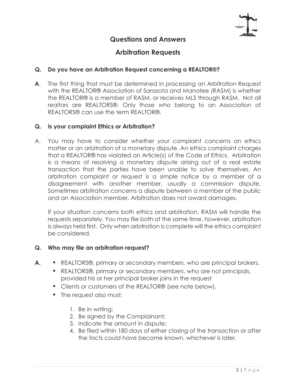

### **Questions and Answers**

### **Arbitration Requests**

#### **Q. Do you have an Arbitration Request concerning a REALTOR®?**

**A**. The first thing that must be determined in processing an Arbitration Request with the REALTOR® Association of Sarasota and Manatee (RASM) is whether the REALTOR® is a member of RASM, or receives MLS through RASM. Not all realtors are REALTORS®. Only those who belong to an Association of REALTORS® can use the term REALTOR®.

#### **Q. Is your complaint Ethics or Arbitration?**

A. You may have to consider whether your complaint concerns an ethics matter or an arbitration of a monetary dispute. An ethics complaint charges that a REALTOR® has violated an Article(s) of the Code of Ethics. Arbitration is a means of resolving a monetary dispute arising out of a real estate transaction that the parties have been unable to solve themselves. An arbitration complaint or request is a simple notice by a member of a disagreement with another member, usually a commission dispute. Sometimes arbitration concerns a dispute between a member of the public and an Association member. Arbitration does not award damages.

If your situation concerns both ethics and arbitration, RASM will handle the requests separately. You may file both at the same time, however, arbitration is always held first. Only when arbitration is complete will the ethics complaint be considered.

#### **Q. Who may file an arbitration request?**

- **A. •** REALTORS®, primary or secondary members, who are principal brokers.
	- **•** REALTORS®, primary or secondary members, who are not principals, provided his or her principal broker joins in the request
	- **•** Clients or customers of the REALTOR® (see note below).
	- **•** The request also must:
		- 1. Be in writing;
		- 2. Be signed by the Complainant;
		- 3. Indicate the amount in dispute;
		- 4. Be filed within 180 days of either closing of the transaction or after the facts could have become known, whichever is later.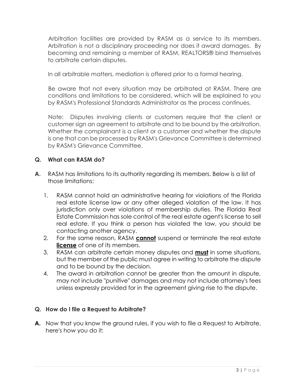Arbitration facilities are provided by RASM as a service to its members. Arbitration is not a disciplinary proceeding nor does it award damages. By becoming and remaining a member of RASM, REALTORS® bind themselves to arbitrate certain disputes.

In all arbitrable matters, mediation is offered prior to a formal hearing.

Be aware that not every situation may be arbitrated at RASM. There are conditions and limitations to be considered, which will be explained to you by RASM's Professional Standards Administrator as the process continues.

Note: Disputes involving clients or customers require that the client or customer sign an agreement to arbitrate and to be bound by the arbitration. Whether the complainant is a client or a customer and whether the dispute is one that can be processed by RASM's Grievance Committee is determined by RASM's Grievance Committee.

#### **Q. What can RASM do?**

- **A.** RASM has limitations to its authority regarding its members. Below is a list of those limitations:
	- 1. RASM cannot hold an administrative hearing for violations of the Florida real estate license law or any other alleged violation of the law. It has jurisdiction only over violations of membership duties. The Florida Real Estate Commission has sole control of the real estate agent's license to sell real estate. If you think a person has violated the law, you should be contacting another agency.
	- 2. For the same reason, RASM **cannot** suspend or terminate the real estate **license** of one of its members.
	- 3. RASM can arbitrate certain money disputes and **must** in some situations, but the member of the public must agree in writing to arbitrate the dispute and to be bound by the decision.
	- 4. The award in arbitration cannot be greater than the amount in dispute, may not include "punitive" damages and may not include attorney's fees unless expressly provided for in the agreement giving rise to the dispute.

#### **Q. How do I file a Request to Arbitrate?**

**A.** Now that you know the ground rules, if you wish to file a Request to Arbitrate, here's how you do it: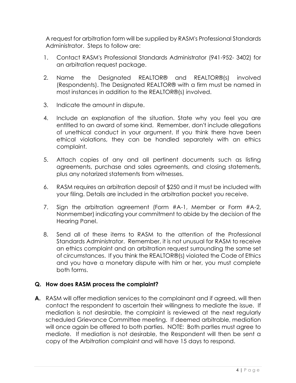A request for arbitration form will be supplied by RASM's Professional Standards Administrator. Steps to follow are:

- 1. Contact RASM's Professional Standards Administrator (941-952- 3402) for an arbitration request package.
- 2. Name the Designated REALTOR® and REALTOR®(s) involved (Respondents). The Designated REALTOR® with a firm must be named in most instances in addition to the REALTOR®(s) involved.
- 3. Indicate the amount in dispute.
- 4. Include an explanation of the situation. State why you feel you are entitled to an award of some kind. Remember, don't include allegations of unethical conduct in your argument. If you think there have been ethical violations, they can be handled separately with an ethics complaint.
- 5. Attach copies of any and all pertinent documents such as listing agreements, purchase and sales agreements, and closing statements, plus any notarized statements from witnesses.
- 6. RASM requires an arbitration deposit of \$250 and it must be included with your filing. Details are included in the arbitration packet you receive.
- 7. Sign the arbitration agreement (Form #A-1, Member or Form #A-2, Nonmember) indicating your commitment to abide by the decision of the Hearing Panel.
- 8. Send all of these items to RASM to the attention of the Professional Standards Administrator. Remember, it is not unusual for RASM to receive an ethics complaint and an arbitration request surrounding the same set of circumstances. If you think the REALTOR®(s) violated the Code of Ethics and you have a monetary dispute with him or her, you must complete both forms.

#### **Q. How does RASM process the complaint?**

**A.** RASM will offer mediation services to the complainant and if agreed, will then contact the respondent to ascertain their willingness to mediate the issue. If mediation is not desirable, the complaint is reviewed at the next regularly scheduled Grievance Committee meeting. If deemed arbitrable, mediation will once again be offered to both parties. NOTE: Both parties must agree to mediate. If mediation is not desirable, the Respondent will then be sent a copy of the Arbitration complaint and will have 15 days to respond.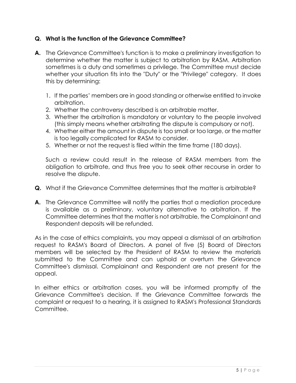#### **Q. What is the function of the Grievance Committee?**

- **A.** The Grievance Committee's function is to make a preliminary investigation to determine whether the matter is subject to arbitration by RASM. Arbitration sometimes is a duty and sometimes a privilege. The Committee must decide whether your situation fits into the "Duty" or the "Privilege" category. It does this by determining:
	- 1. If the parties' members are in good standing or otherwise entitled to invoke arbitration.
	- 2. Whether the controversy described is an arbitrable matter.
	- 3. Whether the arbitration is mandatory or voluntary to the people involved (this simply means whether arbitrating the dispute is compulsory or not).
	- 4. Whether either the amount in dispute is too small or too large, or the matter is too legally complicated for RASM to consider.
	- 5. Whether or not the request is filed within the time frame (180 days).

Such a review could result in the release of RASM members from the obligation to arbitrate, and thus free you to seek other recourse in order to resolve the dispute.

- **Q.** What if the Grievance Committee determines that the matter is arbitrable?
- **A.** The Grievance Committee will notify the parties that a mediation procedure is available as a preliminary, voluntary alternative to arbitration. If the Committee determines that the matter is not arbitrable, the Complainant and Respondent deposits will be refunded.

As in the case of ethics complaints, you may appeal a dismissal of an arbitration request to RASM's Board of Directors. A panel of five (5) Board of Directors members will be selected by the President of RASM to review the materials submitted to the Committee and can uphold or overturn the Grievance Committee's dismissal. Complainant and Respondent are not present for the appeal.

In either ethics or arbitration cases, you will be informed promptly of the Grievance Committee's decision. If the Grievance Committee forwards the complaint or request to a hearing, it is assigned to RASM's Professional Standards Committee.